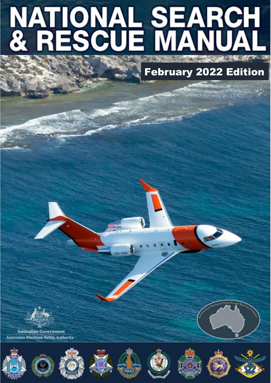# **NATIONAL SEARCH<br>& RESCUE MANUAL**

February 2022 Edition



**Australian Government Australian Maritime Safety Authority** 















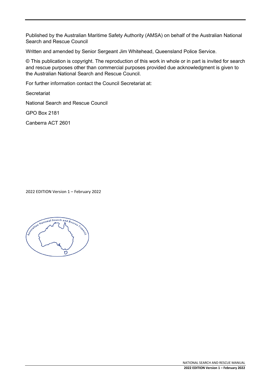Published by the Australian Maritime Safety Authority (AMSA) on behalf of the Australian National Search and Rescue Council

Written and amended by Senior Sergeant Jim Whitehead, Queensland Police Service.

© This publication is copyright. The reproduction of this work in whole or in part is invited for search and rescue purposes other than commercial purposes provided due acknowledgment is given to the Australian National Search and Rescue Council.

For further information contact the Council Secretariat at:

**Secretariat** 

National Search and Rescue Council

GPO Box 2181

Canberra ACT 2601

2022 EDITION Version 1 – February 2022

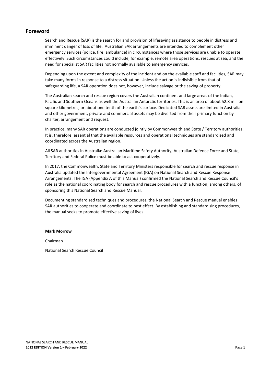#### **Foreword**

Search and Rescue (SAR) is the search for and provision of lifesaving assistance to people in distress and imminent danger of loss of life. Australian SAR arrangements are intended to complement other emergency services (police, fire, ambulance) in circumstances where those services are unable to operate effectively. Such circumstances could include, for example, remote area operations, rescues at sea, and the need for specialist SAR facilities not normally available to emergency services.

Depending upon the extent and complexity of the incident and on the available staff and facilities, SAR may take many forms in response to a distress situation. Unless the action is indivisible from that of safeguarding life, a SAR operation does not, however, include salvage or the saving of property.

The Australian search and rescue region covers the Australian continent and large areas of the Indian, Pacific and Southern Oceans as well the Australian Antarctic territories. This is an area of about 52.8 million square kilometres, or about one tenth of the earth's surface. Dedicated SAR assets are limited in Australia and other government, private and commercial assets may be diverted from their primary function by charter, arrangement and request.

In practice, many SAR operations are conducted jointly by Commonwealth and State / Territory authorities. It is, therefore, essential that the available resources and operational techniques are standardised and coordinated across the Australian region.

All SAR authorities in Australia: Australian Maritime Safety Authority, Australian Defence Force and State, Territory and Federal Police must be able to act cooperatively.

In 2017, the Commonwealth, State and Territory Ministers responsible for search and rescue response in Australia updated the Intergovernmental Agreement (IGA) on National Search and Rescue Response Arrangements. The IGA (Appendix A of this Manual) confirmed the National Search and Rescue Council's role as the national coordinating body for search and rescue procedures with a function, among others, of sponsoring this National Search and Rescue Manual.

Documenting standardised techniques and procedures, the National Search and Rescue manual enables SAR authorities to cooperate and coordinate to best effect. By establishing and standardising procedures, the manual seeks to promote effective saving of lives.

#### **Mark Morrow**

Chairman

National Search Rescue Council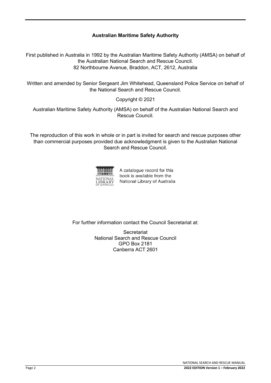#### **Australian Maritime Safety Authority**

First published in Australia in 1992 by the Australian Maritime Safety Authority (AMSA) on behalf of the Australian National Search and Rescue Council. 82 Northbourne Avenue, Braddon, ACT, 2612, Australia

Written and amended by Senior Sergeant Jim Whitehead, Queensland Police Service on behalf of the National Search and Rescue Council.

#### Copyright © 2021

Australian Maritime Safety Authority (AMSA) on behalf of the Australian National Search and Rescue Council.

The reproduction of this work in whole or in part is invited for search and rescue purposes other than commercial purposes provided due acknowledgment is given to the Australian National Search and Rescue Council.



A catalogue record for this book is available from the National Library of Australia

For further information contact the Council Secretariat at:

Secretariat National Search and Rescue Council GPO Box 2181 Canberra ACT 2601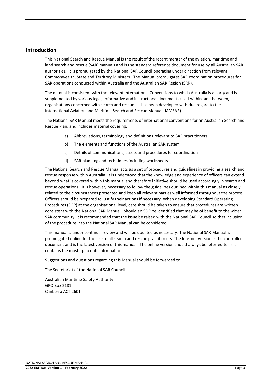#### **Introduction**

This National Search and Rescue Manual is the result of the recent merger of the aviation, maritime and land search and rescue (SAR) manuals and is the standard reference document for use by all Australian SAR authorities. It is promulgated by the National SAR Council operating under direction from relevant Commonwealth, State and Territory Ministers. The Manual promulgates SAR coordination procedures for SAR operations conducted within Australia and the Australian SAR Region (SRR).

The manual is consistent with the relevant International Conventions to which Australia is a party and is supplemented by various legal, informative and instructional documents used within, and between, organisations concerned with search and rescue. It has been developed with due regard to the International Aviation and Maritime Search and Rescue Manual (IAMSAR).

The National SAR Manual meets the requirements of international conventions for an Australian Search and Rescue Plan, and includes material covering:

- a) Abbreviations, terminology and definitions relevant to SAR practitioners
- b) The elements and functions of the Australian SAR system
- c) Details of communications, assets and procedures for coordination
- d) SAR planning and techniques including worksheets

The National Search and Rescue Manual acts as a set of procedures and guidelines in providing a search and rescue response within Australia. It is understood that the knowledge and experience of officers can extend beyond what is covered within this manual and therefore initiative should be used accordingly in search and rescue operations. It is however, necessary to follow the guidelines outlined within this manual as closely related to the circumstances presented and keep all relevant parties well informed throughout the process. Officers should be prepared to justify their actions if necessary. When developing Standard Operating Procedures (SOP) at the organisational level, care should be taken to ensure that procedures are written consistent with the National SAR Manual. Should an SOP be identified that may be of benefit to the wider SAR community, it is recommended that the issue be raised with the National SAR Council so that inclusion of the procedure into the National SAR Manual can be considered.

This manual is under continual review and will be updated as necessary. The National SAR Manual is promulgated online for the use of all search and rescue practitioners. The Internet version is the controlled document and is the latest version of this manual. The online version should always be referred to as it contains the most up to date information.

Suggestions and questions regarding this Manual should be forwarded to:

The Secretariat of the National SAR Council

Australian Maritime Safety Authority GPO Box 2181 Canberra ACT 2601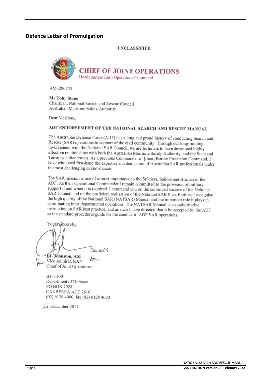#### **Defence Letter of Promulgation**

**UNCLASSIFIED** 



**CHIEF OF JOINT OPERATIONS** Headquarters Joint Operations Command

AM3290753

**Mr Toby Stone** Chairman, National Search and Rescue Council Australian Maritime Safety Authority

Dear Mr Stone.

#### ADF ENDORSEMENT OF THE NATIONAL SEARCH AND RESCUE MANUAL

The Australian Defence Force (ADF) has a long and proud history of conducting Search and Rescue (SAR) operations in support of the civil community. Through our long-running involvement with the National SAR Council, we are fortunate to have developed highly effective relationships with both the Australian Maritime Safety Authority, and the State and Territory police forces. As a previous Commander of [then] Border Protection Command, I have witnessed first-hand the expertise and dedication of Australian SAR professionals under the most challenging circumstances.

The SAR mission is one of utmost importance to the Soldiers, Sailors and Airmen of the ADF. As their Operational Commander I remain committed to the provision of military support if and when it is required. I commend you on the continued success of the National SAR Council and on the proficient realisation of the National SAR Plan. Further, I recognise the high quality of the National SAR (NATSAR) Manual and the important role it plays in coordinating inter-departmental operations. The NATSAR Manual is an authoritative instruction on SAR best practice, and as such I have directed that it be accepted by the ADF as the standard procedural guide for the conduct of ADF SAR operations.

Yours sincerely,  $D$ ctof S **DL Johnston, AM**  $A_{\circ}$ 

Vice Admiral, RAN Chief of Joint Operations

B1-1-J001 Department of Defence PO BOX 7928 CANBERRA ACT 2610 (02) 6128 4000, fax (02) 6128 4020

21 December 2017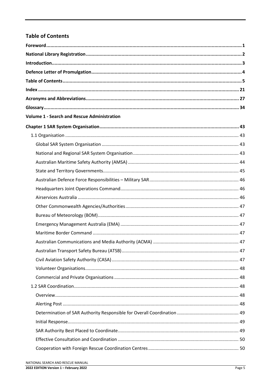## **Table of Contents**

| <b>Volume 1 - Search and Rescue Administration</b> |  |
|----------------------------------------------------|--|
|                                                    |  |
|                                                    |  |
|                                                    |  |
|                                                    |  |
|                                                    |  |
|                                                    |  |
|                                                    |  |
|                                                    |  |
|                                                    |  |
|                                                    |  |
|                                                    |  |
|                                                    |  |
|                                                    |  |
|                                                    |  |
|                                                    |  |
|                                                    |  |
|                                                    |  |
|                                                    |  |
|                                                    |  |
|                                                    |  |
|                                                    |  |
|                                                    |  |
|                                                    |  |
|                                                    |  |
|                                                    |  |
|                                                    |  |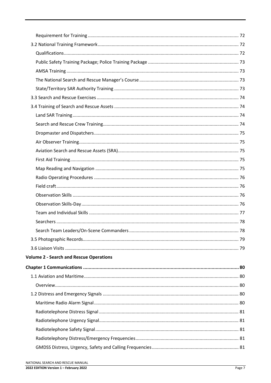| <b>Volume 2 - Search and Rescue Operations</b> |  |
|------------------------------------------------|--|
|                                                |  |
|                                                |  |
|                                                |  |
|                                                |  |
|                                                |  |
|                                                |  |
|                                                |  |
|                                                |  |
|                                                |  |
|                                                |  |
|                                                |  |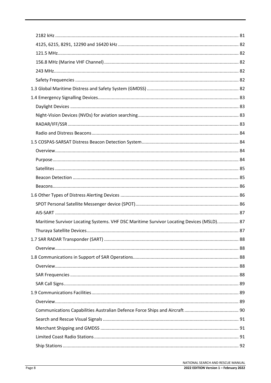| Maritime Survivor Locating Systems. VHF DSC Maritime Survivor Locating Devices (MSLD) 87 |  |
|------------------------------------------------------------------------------------------|--|
|                                                                                          |  |
|                                                                                          |  |
|                                                                                          |  |
|                                                                                          |  |
|                                                                                          |  |
|                                                                                          |  |
|                                                                                          |  |
|                                                                                          |  |
|                                                                                          |  |
|                                                                                          |  |
|                                                                                          |  |
|                                                                                          |  |
|                                                                                          |  |
|                                                                                          |  |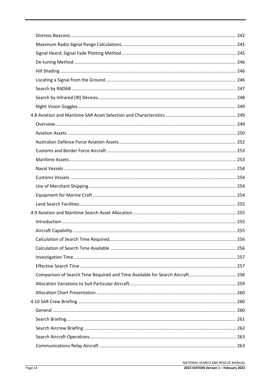| Comparison of Search Time Required and Time Available for Search Aircraft  258 |  |
|--------------------------------------------------------------------------------|--|
|                                                                                |  |
|                                                                                |  |
|                                                                                |  |
|                                                                                |  |
|                                                                                |  |
|                                                                                |  |
|                                                                                |  |
|                                                                                |  |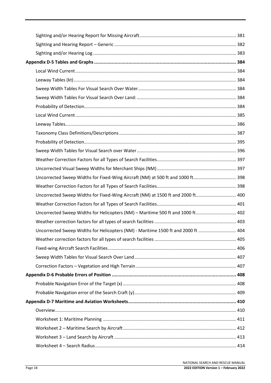| Uncorrected Sweep Widths for Fixed-Wing Aircraft (NM) at 1500 ft and 2000 ft 400  |  |
|-----------------------------------------------------------------------------------|--|
|                                                                                   |  |
| Uncorrected Sweep Widths for Helicopters (NM) - Maritime 500 ft and 1000 ft 402   |  |
|                                                                                   |  |
| Uncorrected Sweep Widths for Helicopters (NM) - Maritime 1500 ft and 2000 ft  404 |  |
|                                                                                   |  |
|                                                                                   |  |
|                                                                                   |  |
|                                                                                   |  |
|                                                                                   |  |
|                                                                                   |  |
|                                                                                   |  |
|                                                                                   |  |
|                                                                                   |  |
|                                                                                   |  |
|                                                                                   |  |
|                                                                                   |  |
|                                                                                   |  |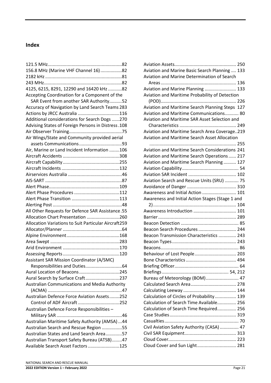### **Index**

| 156.8 MHz (Marine VHF Channel 16)82                  |      |
|------------------------------------------------------|------|
|                                                      |      |
|                                                      |      |
| 4125, 6215, 8291, 12290 and 16420 kHz 82             |      |
| Accepting Coordination for a Component of the        |      |
| SAR Event from another SAR Authority52               |      |
| Accuracy of Navigation by Land Search Teams 283      |      |
| Actions by JRCC Australia 116                        |      |
| Additional considerations for Search Dogs 270        |      |
| Advising States of Foreign Persons in Distress. 108  |      |
|                                                      |      |
| Air Wings/State and Community provided aerial        |      |
|                                                      |      |
| Air, Marine or Land Incident Information 106         |      |
|                                                      |      |
|                                                      |      |
|                                                      |      |
|                                                      |      |
|                                                      |      |
|                                                      |      |
|                                                      |      |
|                                                      |      |
|                                                      |      |
| All Other Requests for Defence SAR Assistance.55     |      |
| Allocation Chart Presentation 260                    |      |
| Allocation Variations to Suit Particular Aircraft259 |      |
|                                                      |      |
|                                                      |      |
|                                                      |      |
|                                                      |      |
|                                                      |      |
| <b>Assistant SAR Mission Coordinator (A/SMC)</b>     |      |
| <b>Responsibilities and Duties</b>                   | . 64 |
| Aural Location of Beacons 245                        |      |
| Aural Search by Surface Craft237                     |      |
| Australian Communications and Media Authority        |      |
|                                                      |      |
| Australian Defence Force Aviation Assets252          |      |
| Control of ADF Aircraft 252                          |      |
| Australian Defence Force Responsibilities -          |      |
|                                                      |      |
| Australian Maritime Safety Authority (AMSA)  44      |      |
| Australian Search and Rescue Region 55               |      |
| Australian States and Land Search Area57             |      |
| Australian Transport Safety Bureau (ATSB)47          |      |
| Available Search Asset Factors 125                   |      |
|                                                      |      |

| Aviation and Marine Basic Search Planning  133       |  |
|------------------------------------------------------|--|
| Aviation and Marine Determination of Search          |  |
|                                                      |  |
| Aviation and Marine Planning  133                    |  |
| Aviation and Maritime Probability of Detection       |  |
|                                                      |  |
| Aviation and Maritime Search Planning Steps 127      |  |
| Aviation and Maritime Communications 80              |  |
| Aviation and Maritime SAR Asset Selection and        |  |
|                                                      |  |
| Aviation and Maritime Search Area Coverage219        |  |
| <b>Aviation and Maritime Search Asset Allocation</b> |  |
|                                                      |  |
| Aviation and Maritime Search Considerations 241      |  |
| Aviation and Maritime Search Operations 217          |  |
| Aviation and Maritime Search Planning 127            |  |
|                                                      |  |
|                                                      |  |
| Aviation Search and Rescue Units (SRU)  75           |  |
|                                                      |  |
| Awareness and Initial Action  101                    |  |
| Awareness and Initial Action Stages (Stage 1 and     |  |
|                                                      |  |
| Awareness Introduction  101                          |  |
|                                                      |  |
|                                                      |  |
| Beacon Search Procedures  244                        |  |
| Beacon Transmission Characteristics  243             |  |
|                                                      |  |
|                                                      |  |
| Behaviour of Lost People 203                         |  |
|                                                      |  |
|                                                      |  |
|                                                      |  |
| Bureau of Meteorology (BOM) 47                       |  |
|                                                      |  |
|                                                      |  |
| Calculation of Circles of Probability 139            |  |
| Calculation of Search Time Available 256             |  |
|                                                      |  |
| Calculation of Search Time Required 256              |  |
|                                                      |  |
|                                                      |  |
| Civil Aviation Safety Authority (CASA)  47           |  |
|                                                      |  |
|                                                      |  |
| Cloud Cover and Sun Light 281                        |  |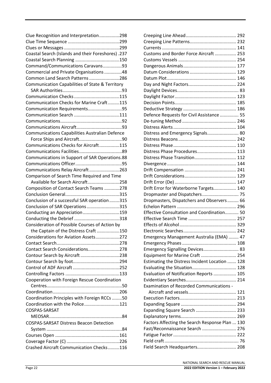| Clue Recognition and Interpretation298                |  |
|-------------------------------------------------------|--|
|                                                       |  |
|                                                       |  |
| Coastal Search (Islands and their Foreshores) .237    |  |
|                                                       |  |
| Command/Communications Caravans93                     |  |
| Commercial and Private Organisations 48               |  |
| Common Land Search Patterns 286                       |  |
| Communication Capabilities of State & Territory       |  |
|                                                       |  |
|                                                       |  |
| Communication Checks for Marine Craft115              |  |
| Communication Requirements95                          |  |
|                                                       |  |
|                                                       |  |
|                                                       |  |
| <b>Communications Capabilities Australian Defence</b> |  |
|                                                       |  |
| Communications Checks for Aircraft115                 |  |
|                                                       |  |
| Communications in Support of SAR Operations.88        |  |
|                                                       |  |
| Communications Relay Aircraft263                      |  |
|                                                       |  |
| Comparison of Search Time Required and Time           |  |
| Available for Search Aircraft258                      |  |
| Composition of Contact Search Teams 278               |  |
|                                                       |  |
| Conclusion of a successful SAR operation315           |  |
| Conclusion of SAR Operations315                       |  |
| Conducting an Appreciation159                         |  |
|                                                       |  |
| Consideration of Possible Courses of Action by        |  |
| the Captain of the Distress Craft 150                 |  |
| Considerations for Aviation Assets272                 |  |
|                                                       |  |
| Contact Search Considerations278                      |  |
| Contour Search by Aircraft 238                        |  |
|                                                       |  |
|                                                       |  |
|                                                       |  |
| Cooperation with Foreign Rescue Coordination          |  |
|                                                       |  |
|                                                       |  |
| Coordination Principles with Foreign RCCs 50          |  |
| Coordination with the Police121                       |  |
| COSPAS-SARSAT                                         |  |
|                                                       |  |
| <b>COSPAS-SARSAT Distress Beacon Detection</b>        |  |
|                                                       |  |
|                                                       |  |
|                                                       |  |
| Crashed Aircraft Communication Checks116              |  |

| Customs and Border Force Aircraft  253          |  |
|-------------------------------------------------|--|
|                                                 |  |
|                                                 |  |
|                                                 |  |
|                                                 |  |
|                                                 |  |
|                                                 |  |
|                                                 |  |
|                                                 |  |
|                                                 |  |
|                                                 |  |
| Defence Requests for Civil Assistance  55       |  |
|                                                 |  |
|                                                 |  |
| Distress and Emergency Signals 80               |  |
|                                                 |  |
|                                                 |  |
| Distress Phase Procedures 113                   |  |
| Distress Phase Transition 112                   |  |
|                                                 |  |
|                                                 |  |
|                                                 |  |
|                                                 |  |
| Drift Error for Waterborne Targets 140          |  |
| Dropmaster and Dispatchers 75                   |  |
| Dropmasters, Dispatchers and Observers 66       |  |
|                                                 |  |
| Effective Consultation and Coordination 50      |  |
|                                                 |  |
|                                                 |  |
|                                                 |  |
| Emergency Management Australia (EMA)  47        |  |
|                                                 |  |
|                                                 |  |
| Emergency Signalling Devices 83                 |  |
| Equipment for Marine Craft  254                 |  |
| Estimating the Distress Incident Location  128  |  |
|                                                 |  |
| Evaluation of Notification Reports  105         |  |
|                                                 |  |
| <b>Examination of Recorded Communications -</b> |  |
|                                                 |  |
|                                                 |  |
|                                                 |  |
| Expanding Square Search  233                    |  |
|                                                 |  |
| Factors Affecting the Search Response Plan  130 |  |
| Fast/Reconnaissance Search  276                 |  |
|                                                 |  |
|                                                 |  |
|                                                 |  |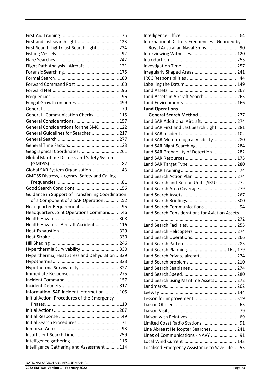| First and last search light123                   |  |
|--------------------------------------------------|--|
| First Search Light/Last Search Light224          |  |
|                                                  |  |
|                                                  |  |
| Flight Path Analysis - Aircraft121               |  |
|                                                  |  |
|                                                  |  |
|                                                  |  |
|                                                  |  |
|                                                  |  |
|                                                  |  |
|                                                  |  |
|                                                  |  |
| General - Communication Checks 115               |  |
|                                                  |  |
| General Considerations for the SMC122            |  |
| General Guidelines for Searches 217              |  |
|                                                  |  |
|                                                  |  |
| Geographical Coordinates261                      |  |
| Global Maritime Distress and Safety System       |  |
|                                                  |  |
| Global SAR System Organisation 43                |  |
| GMDSS Distress, Urgency, Safety and Calling      |  |
|                                                  |  |
|                                                  |  |
| Guidance in Support of Transferring Coordination |  |
| of a Component of a SAR Operation 52             |  |
|                                                  |  |
| Headquarters Joint Operations Command46          |  |
|                                                  |  |
| Health Hazards - Aircraft Accidents116           |  |
|                                                  |  |
| Heat Stroke                                      |  |
|                                                  |  |
|                                                  |  |
| Hyperthermia Survivability330                    |  |
| Hyperthermia, Heat Stress and Dehydration 329    |  |
|                                                  |  |
| Hypothermia Survivability 327                    |  |
|                                                  |  |
|                                                  |  |
|                                                  |  |
| Information: SAR Incident Information 105        |  |
| Initial Action: Procedures of the Emergency      |  |
|                                                  |  |
|                                                  |  |
|                                                  |  |
| Initial Search Procedures131                     |  |
|                                                  |  |
|                                                  |  |
|                                                  |  |
| Intelligence Gathering and Assessment114         |  |
|                                                  |  |

| International Distress Frequencies - Guarded by |  |
|-------------------------------------------------|--|
| Royal Australian Naval Ships 90                 |  |
|                                                 |  |
|                                                 |  |
|                                                 |  |
| Irregularly Shaped Areas 241                    |  |
|                                                 |  |
|                                                 |  |
|                                                 |  |
|                                                 |  |
| Land Assets in Aircraft Search  265             |  |
|                                                 |  |
| <b>Land Operations</b>                          |  |
| General Search Method  277                      |  |
| Land SAR Additional Aircraft 274                |  |
| Land SAR First and Last Search Light  281       |  |
|                                                 |  |
| Land SAR Meteorological Visibility  280         |  |
| Land SAR Night Searching 284                    |  |
| Land SAR Probability of Detection 282           |  |
|                                                 |  |
|                                                 |  |
|                                                 |  |
| Land Search Action Plan  274                    |  |
| Land Search and Rescue Units (SRU) 272          |  |
| Land Search Area Coverage 279                   |  |
|                                                 |  |
|                                                 |  |
| Land Search Communications  94                  |  |
| Land Search Considerations for Aviation Assets  |  |
|                                                 |  |
|                                                 |  |
|                                                 |  |
|                                                 |  |
|                                                 |  |
|                                                 |  |
| Land Search Planning 162, 179                   |  |
| Land Search Private aircraft 274                |  |
|                                                 |  |
|                                                 |  |
|                                                 |  |
| Land Search using Maritime Assets 272           |  |
|                                                 |  |
|                                                 |  |
|                                                 |  |
|                                                 |  |
|                                                 |  |
|                                                 |  |
| Limited Coast Radio Stations  91                |  |
| Line Abreast Helicopter Searches 241            |  |
| Lines of Communications - NAVY  91              |  |
|                                                 |  |
| Localised Emergency Assistance to Save Life  55 |  |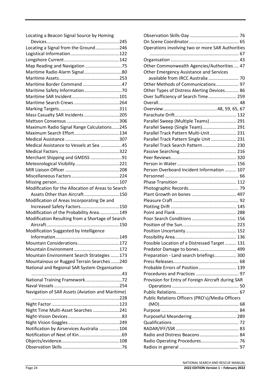Locating a Beacon Signal Source by Homing

| Locating a Signal from the Ground246               |  |
|----------------------------------------------------|--|
|                                                    |  |
|                                                    |  |
|                                                    |  |
|                                                    |  |
| Map Reading and Navigation 75                      |  |
| Maritime Radio Alarm Signal80                      |  |
|                                                    |  |
| Maritime Border Command 47                         |  |
|                                                    |  |
|                                                    |  |
|                                                    |  |
|                                                    |  |
| Mass Casualty SAR Incidents 205                    |  |
|                                                    |  |
| Maximum Radio Signal Range Calculations245         |  |
|                                                    |  |
|                                                    |  |
| Medical Assistance to Vessels at Sea 45            |  |
|                                                    |  |
| Merchant Shipping and GMDSS 91                     |  |
|                                                    |  |
|                                                    |  |
|                                                    |  |
|                                                    |  |
| Modification for the Allocation of Areas to Search |  |
|                                                    |  |
| Assets Other than Aircraft150                      |  |
| Modification of Areas Incorporating De and         |  |
| Increased Safety Factors150                        |  |
| Modification of the Probability Area149            |  |
|                                                    |  |
| Modification Resulting from a Shortage of Search   |  |
|                                                    |  |
| Modification Suggested by Intelligence             |  |
|                                                    |  |
| Mountain Considerations172                         |  |
|                                                    |  |
| Mountain Environment Search Strategies 173         |  |
| Mountainous or Rugged Terrain Searches240          |  |
| National and Regional SAR System Organisation      |  |
|                                                    |  |
| National Training Framework72                      |  |
|                                                    |  |
| Navigation of SAR Assets (Aviation and Maritime)   |  |
|                                                    |  |
|                                                    |  |
|                                                    |  |
| Night Time Multi-Asset Searches 241                |  |
|                                                    |  |
|                                                    |  |
| Notification by Airservices Australia 104          |  |
|                                                    |  |
|                                                    |  |

| Operations involving two or more SAR Authorities   |
|----------------------------------------------------|
|                                                    |
|                                                    |
| Other Commonwealth Agencies/Authorities 47         |
| Other Emergency Assistance and Services            |
| available from JRCC Australia  70                  |
| Other Methods of Communications 97                 |
| Other Types of Distress Alerting Devices 86        |
| Over Sufficiency of Search Time 259                |
|                                                    |
|                                                    |
|                                                    |
| Parallel Sweep (Multiple Teams)  291               |
| Parallel Sweep (Single Team) 291                   |
| Parallel Track Pattern Multi-Unit 231              |
| Parallel Track Pattern Single Unit  231            |
| Parallel Track Search Pattern 230                  |
|                                                    |
|                                                    |
|                                                    |
| Person Overboard Incident Information  107         |
|                                                    |
|                                                    |
|                                                    |
|                                                    |
|                                                    |
|                                                    |
|                                                    |
|                                                    |
|                                                    |
|                                                    |
|                                                    |
| Possible Location of a Distressed Target 131       |
| Predator Damage to bones 499                       |
| Preparation - Land search briefings 300            |
|                                                    |
| Probable Errors of Position 139                    |
|                                                    |
| Provision for Entry of Foreign Aircraft during SAR |
|                                                    |
|                                                    |
| Public Relations Officers (PRO's)/Media Officers   |
|                                                    |
|                                                    |
|                                                    |
|                                                    |
|                                                    |
| Radio and Distress Beacons 84                      |
| Radio Operating Procedures 76                      |
|                                                    |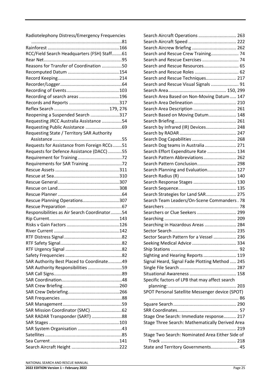Radiotelephony Distress/Emergency Frequencies

| RCC/Field Search Headquarters (FSH) Staff61  |  |
|----------------------------------------------|--|
|                                              |  |
| Reasons for Transfer of Coordination 50      |  |
|                                              |  |
|                                              |  |
|                                              |  |
|                                              |  |
| Recording of search areas 196                |  |
|                                              |  |
|                                              |  |
| Reopening a Suspended Search 317             |  |
| Requesting JRCC Australia Assistance 54      |  |
|                                              |  |
| Requesting State / Territory SAR Authority   |  |
|                                              |  |
|                                              |  |
| Requests for Assistance from Foreign RCCs 51 |  |
| Requests for Defence Assistance (DACC) 55    |  |
|                                              |  |
| Requirements for SAR Training 72             |  |
|                                              |  |
|                                              |  |
|                                              |  |
|                                              |  |
|                                              |  |
| Rescue Planning Operations307                |  |
|                                              |  |
| Responsibilities as Air Search Coordinator54 |  |
|                                              |  |
|                                              |  |
|                                              |  |
|                                              |  |
|                                              |  |
|                                              |  |
|                                              |  |
| SAR Authority Best Placed to Coordinate49    |  |
| SAR Authority Responsibilities 59            |  |
|                                              |  |
|                                              |  |
|                                              |  |
|                                              |  |
|                                              |  |
|                                              |  |
| SAR Mission Coordinator (SMC)62              |  |
|                                              |  |
| SAR RADAR Transponder (SART) 88              |  |
|                                              |  |
|                                              |  |
|                                              |  |
|                                              |  |
|                                              |  |

| Reopening a Suspended Search 317             | Search Based on Moving Datum 148                |         |
|----------------------------------------------|-------------------------------------------------|---------|
| Requesting JRCC Australia Assistance 54      |                                                 |         |
|                                              | Search by Infrared (IR) Devices 248             |         |
| Requesting State / Territory SAR Authority   |                                                 |         |
|                                              |                                                 |         |
| Requests for Assistance from Foreign RCCs 51 | Search Dog teams in Australia  271              |         |
| Requests for Defence Assistance (DACC) 55    | Search Effort Expenditure Rate  134             |         |
|                                              | Search Pattern Abbreviations 262                |         |
|                                              | Search Pattern Conclusion 298                   |         |
|                                              | Search Planning and Evaluation 127              |         |
|                                              |                                                 |         |
|                                              | Search Response Stages  130                     |         |
|                                              |                                                 |         |
|                                              | Search Strategies for Land SAR 275              |         |
| Rescue Planning Operations307                | Search Team Leaders/On-Scene Commanders . 78    |         |
|                                              |                                                 |         |
| Responsibilities as Air Search Coordinator54 | Searchers or Clue Seekers  299                  |         |
|                                              |                                                 |         |
|                                              | Searching in Hazardous Areas  284               |         |
|                                              |                                                 |         |
|                                              | Sector Search Pattern for a Vessel  236         |         |
|                                              |                                                 |         |
|                                              |                                                 |         |
|                                              | Sighting and Hearing Reports  119               |         |
| SAR Authority Best Placed to Coordinate49    | Signal Heard, Signal Fade Plotting Method  245  |         |
| SAR Authority Responsibilities 59            |                                                 |         |
|                                              |                                                 |         |
|                                              | Specific factors of LPB that may affect search  |         |
|                                              |                                                 |         |
|                                              | SPOT Personal Satellite Messenger device (SPOT) |         |
|                                              |                                                 |         |
|                                              |                                                 |         |
|                                              |                                                 |         |
| SAR RADAR Transponder (SART) 88              | Stage One Search: Immediate response 217        |         |
|                                              | Stage Three Search: Mathematically Derived Area |         |
|                                              |                                                 |         |
|                                              | Stage Two Search: Nominated Area Either Side of |         |
|                                              |                                                 |         |
|                                              | State and Territory Governments 45              |         |
|                                              |                                                 |         |
| NATIONAL SEARCH AND RESCUE MANUAL            |                                                 |         |
| 2022 EDITION Version 1 - February 2022       |                                                 | Page 25 |
|                                              |                                                 |         |
|                                              |                                                 |         |
|                                              |                                                 |         |
|                                              |                                                 |         |
|                                              |                                                 |         |

Search Aircraft Operations.............................. 263 Search Aircraft Speed ...................................... 222 Search Aircrew Briefing ................................... 262 Search and Rescue Crew Training...................... 74 Search and Rescue Exercises............................. 74 Search and Rescue Resources................................... 65 Search and Rescue Roles................................... 62 Search and Rescue Techniques......................... 217 Search and Rescue Visual Signals ...................... 91 Search Area.............................................. 150, 299 Search Area Based on Non-Moving Datum..... 147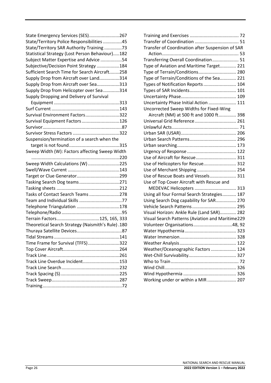| State Emergency Services (SES)267                 |  |
|---------------------------------------------------|--|
| State/Territory Police Responsibilities 45        |  |
| State/Territory SAR Authority Training 73         |  |
| Statistical Strategy (Lost Person Behaviour)182   |  |
| Subject Matter Expertise and Advice 54            |  |
| Subjective/Decision Point Strategy 184            |  |
| Sufficient Search Time for Search Aircraft258     |  |
| Supply Drop from Aircraft over Land314            |  |
| Supply Drop from Aircraft over Sea313             |  |
| Supply Drop from Helicopter over Sea314           |  |
| Supply Dropping and Delivery of Survival          |  |
|                                                   |  |
|                                                   |  |
| Survival Environment Factors322                   |  |
| Survival Equipment Factors126                     |  |
|                                                   |  |
|                                                   |  |
| Suspension/termination of a search when the       |  |
|                                                   |  |
| Sweep Width (W): Factors affecting Sweep Width    |  |
|                                                   |  |
| Sweep Width Calculations (W) 225                  |  |
|                                                   |  |
|                                                   |  |
| Tasking Search Dog teams271                       |  |
|                                                   |  |
| Tasks of Contact Search Teams 278                 |  |
|                                                   |  |
| Telephone Triangulation 178                       |  |
|                                                   |  |
| Terrain Factors125, 165, 333                      |  |
| Theoretical Search Strategy (Naismith's Rule).180 |  |
|                                                   |  |
|                                                   |  |
| Time Frame for Survival (TFFS)322                 |  |
|                                                   |  |
|                                                   |  |
| Track Line Overdue Incident153                    |  |
|                                                   |  |
|                                                   |  |
|                                                   |  |
|                                                   |  |
|                                                   |  |

| Transfer of Coordination after Suspension of SAR |  |
|--------------------------------------------------|--|
|                                                  |  |
| Transferring Overall Coordination 51             |  |
| Type of Aviation and Maritime Target 221         |  |
| Type of Terrain/Conditions 280                   |  |
| Type of Terrain/Conditions of the Sea 221        |  |
| Types of Notification Reports 104                |  |
|                                                  |  |
|                                                  |  |
| Uncertainty Phase Initial Action  111            |  |
| Uncorrected Sweep Widths for Fixed-Wing          |  |
| Aircraft (NM) at 500 ft and 1000 ft 398          |  |
|                                                  |  |
|                                                  |  |
|                                                  |  |
|                                                  |  |
|                                                  |  |
|                                                  |  |
| Use of Aircraft for Rescue 311                   |  |
| Use of Helicopters for Rescue 312                |  |
| Use of Merchant Shipping  254                    |  |
| Use of Rescue Boats and Vessels 311              |  |
| Use of Top Cover Aircraft with Rescue and        |  |
| MEDEVAC Helicopters  313                         |  |
| Using all four Formal Search Strategies 187      |  |
| Using Search Dog capability for SAR 270          |  |
|                                                  |  |
| Visual Horizon: Ankle Rule (Land SAR) 282        |  |
| Visual Search Patterns (Aviation and Maritime229 |  |
| Volunteer Organisations48, 92                    |  |
|                                                  |  |
|                                                  |  |
|                                                  |  |
| Weather/Oceanographic Factors  124               |  |
|                                                  |  |
|                                                  |  |
|                                                  |  |
|                                                  |  |
| Working under or within a MIR  207               |  |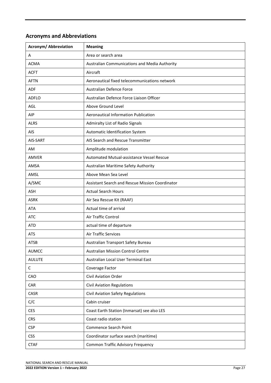# **Acronyms and Abbreviations**

| Acronym/Abbreviation | <b>Meaning</b>                                         |
|----------------------|--------------------------------------------------------|
| A                    | Area or search area                                    |
| <b>ACMA</b>          | Australian Communications and Media Authority          |
| <b>ACFT</b>          | Aircraft                                               |
| <b>AFTN</b>          | Aeronautical fixed telecommunications network          |
| <b>ADF</b>           | Australian Defence Force                               |
| <b>ADFLO</b>         | Australian Defence Force Liaison Officer               |
| AGL                  | Above Ground Level                                     |
| AIP                  | Aeronautical Information Publication                   |
| <b>ALRS</b>          | Admiralty List of Radio Signals                        |
| AIS                  | Automatic Identification System                        |
| AIS-SART             | AIS Search and Rescue Transmitter                      |
| AM                   | Amplitude modulation                                   |
| AMVER                | Automated Mutual-assistance Vessel Rescue              |
| AMSA                 | Australian Maritime Safety Authority                   |
| AMSL                 | Above Mean Sea Level                                   |
| A/SMC                | <b>Assistant Search and Rescue Mission Coordinator</b> |
| <b>ASH</b>           | <b>Actual Search Hours</b>                             |
| <b>ASRK</b>          | Air Sea Rescue Kit (RAAF)                              |
| <b>ATA</b>           | Actual time of arrival                                 |
| <b>ATC</b>           | Air Traffic Control                                    |
| <b>ATD</b>           | actual time of departure                               |
| <b>ATS</b>           | <b>Air Traffic Services</b>                            |
| <b>ATSB</b>          | Australian Transport Safety Bureau                     |
| <b>AUMCC</b>         | <b>Australian Mission Control Centre</b>               |
| <b>AULUTE</b>        | Australian Local User Terminal East                    |
| C                    | Coverage Factor                                        |
| CAO                  | <b>Civil Aviation Order</b>                            |
| CAR                  | <b>Civil Aviation Regulations</b>                      |
| CASR                 | Civil Aviation Safety Regulations                      |
| C/C                  | Cabin cruiser                                          |
| <b>CES</b>           | Coast Earth Station (Inmarsat) see also LES            |
| <b>CRS</b>           | Coast radio station                                    |
| <b>CSP</b>           | Commence Search Point                                  |
| <b>CSS</b>           | Coordinator surface search (maritime)                  |
| <b>CTAF</b>          | <b>Common Traffic Advisory Frequency</b>               |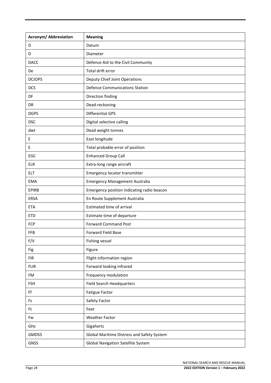| <b>Acronym/ Abbreviation</b> | <b>Meaning</b>                             |
|------------------------------|--------------------------------------------|
| D                            | Datum                                      |
| D                            | Diameter                                   |
| <b>DACC</b>                  | Defence Aid to the Civil Community         |
| De                           | Total drift error                          |
| <b>DCJOPS</b>                | Deputy Chief Joint Operations              |
| <b>DCS</b>                   | <b>Defence Communications Station</b>      |
| DF                           | Direction finding                          |
| <b>DR</b>                    | Dead-reckoning                             |
| <b>DGPS</b>                  | <b>Differential GPS</b>                    |
| <b>DSC</b>                   | Digital selective calling                  |
| dwt                          | Dead weight tonnes                         |
| Ε                            | East longitude                             |
| E                            | Total probable error of position           |
| EGC                          | <b>Enhanced Group Call</b>                 |
| <b>ELR</b>                   | Extra-long range aircraft                  |
| <b>ELT</b>                   | Emergency locator transmitter              |
| <b>EMA</b>                   | <b>Emergency Management Australia</b>      |
| <b>EPIRB</b>                 | Emergency position indicating radio beacon |
| ERSA                         | En Route Supplement Australia              |
| <b>ETA</b>                   | Estimated time of arrival                  |
| <b>ETD</b>                   | Estimate time of departure                 |
| <b>FCP</b>                   | <b>Forward Command Post</b>                |
| <b>FFB</b>                   | <b>Forward Field Base</b>                  |
| F/V                          | Fishing vessel                             |
| Fig                          | Figure                                     |
| <b>FIR</b>                   | Flight information region                  |
| <b>FLIR</b>                  | Forward looking infrared                   |
| FM                           | Frequency modulation                       |
| <b>FSH</b>                   | <b>Field Search Headquarters</b>           |
| Ff                           | <b>Fatigue Factor</b>                      |
| Fs                           | Safety Factor                              |
| Ft                           | Feet                                       |
| Fw                           | <b>Weather Factor</b>                      |
| GHz                          | Gigahertz                                  |
| <b>GMDSS</b>                 | Global Maritime Distress and Safety System |
| <b>GNSS</b>                  | <b>Global Navigation Satellite System</b>  |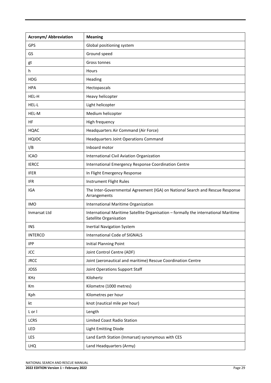| <b>Acronym/ Abbreviation</b> | <b>Meaning</b>                                                                                                |
|------------------------------|---------------------------------------------------------------------------------------------------------------|
| GPS                          | Global positioning system                                                                                     |
| GS                           | Ground speed                                                                                                  |
| gt                           | Gross tonnes                                                                                                  |
| h                            | Hours                                                                                                         |
| <b>HDG</b>                   | Heading                                                                                                       |
| <b>HPA</b>                   | Hectopascals                                                                                                  |
| HEL-H                        | Heavy helicopter                                                                                              |
| HEL-L                        | Light helicopter                                                                                              |
| HEL-M                        | Medium helicopter                                                                                             |
| HF                           | High frequency                                                                                                |
| <b>HQAC</b>                  | Headquarters Air Command (Air Force)                                                                          |
| HQJOC                        | <b>Headquarters Joint Operations Command</b>                                                                  |
| I/B                          | Inboard motor                                                                                                 |
| <b>ICAO</b>                  | International Civil Aviation Organization                                                                     |
| <b>IERCC</b>                 | International Emergency Response Coordination Centre                                                          |
| <b>IFER</b>                  | In Flight Emergency Response                                                                                  |
| <b>IFR</b>                   | Instrument Flight Rules                                                                                       |
| IGA                          | The Inter-Governmental Agreement (IGA) on National Search and Rescue Response<br>Arrangements                 |
| <b>IMO</b>                   | International Maritime Organization                                                                           |
| Inmarsat Ltd                 | International Maritime Satellite Organisation - formally the international Maritime<br>Satellite Organisation |
| <b>INS</b>                   | <b>Inertial Navigation System</b>                                                                             |
| <b>INTERCO</b>               | International Code of SIGNALS                                                                                 |
| <b>IPP</b>                   | <b>Initial Planning Point</b>                                                                                 |
| <b>JCC</b>                   | Joint Control Centre (ADF)                                                                                    |
| <b>JRCC</b>                  | Joint (aeronautical and maritime) Rescue Coordination Centre                                                  |
| <b>JOSS</b>                  | Joint Operations Support Staff                                                                                |
| KHz                          | Kilohertz                                                                                                     |
| Km                           | Kilometre (1000 metres)                                                                                       |
| Kph                          | Kilometres per hour                                                                                           |
| kt                           | knot (nautical mile per hour)                                                                                 |
| L or I                       | Length                                                                                                        |
| <b>LCRS</b>                  | Limited Coast Radio Station                                                                                   |
| LED                          | <b>Light Emitting Diode</b>                                                                                   |
| <b>LES</b>                   | Land Earth Station (Inmarsat) synonymous with CES                                                             |
| <b>LHQ</b>                   | Land Headquarters (Army)                                                                                      |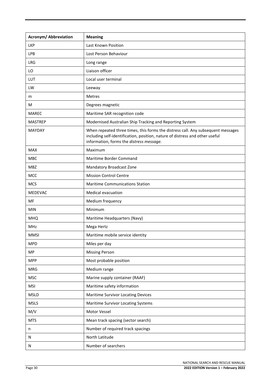| <b>Acronym/ Abbreviation</b> | <b>Meaning</b>                                                                                                                                                                                               |
|------------------------------|--------------------------------------------------------------------------------------------------------------------------------------------------------------------------------------------------------------|
| <b>LKP</b>                   | Last Known Position                                                                                                                                                                                          |
| LPB                          | Lost Person Behaviour                                                                                                                                                                                        |
| <b>LRG</b>                   | Long range                                                                                                                                                                                                   |
| LO                           | Liaison officer                                                                                                                                                                                              |
| LUT                          | Local user terminal                                                                                                                                                                                          |
| LW                           | Leeway                                                                                                                                                                                                       |
| m                            | Metres                                                                                                                                                                                                       |
| м                            | Degrees magnetic                                                                                                                                                                                             |
| <b>MAREC</b>                 | Maritime SAR recognition code                                                                                                                                                                                |
| <b>MASTREP</b>               | Modernised Australian Ship Tracking and Reporting System                                                                                                                                                     |
| <b>MAYDAY</b>                | When repeated three times, this forms the distress call. Any subsequent messages<br>including self-identification, position, nature of distress and other useful<br>information, forms the distress message. |
| <b>MAX</b>                   | Maximum                                                                                                                                                                                                      |
| MBC                          | Maritime Border Command                                                                                                                                                                                      |
| <b>MBZ</b>                   | Mandatory Broadcast Zone                                                                                                                                                                                     |
| <b>MCC</b>                   | <b>Mission Control Centre</b>                                                                                                                                                                                |
| <b>MCS</b>                   | <b>Maritime Communications Station</b>                                                                                                                                                                       |
| MEDEVAC                      | Medical evacuation                                                                                                                                                                                           |
| MF                           | Medium frequency                                                                                                                                                                                             |
| <b>MIN</b>                   | Minimum                                                                                                                                                                                                      |
| <b>MHQ</b>                   | Maritime Headquarters (Navy)                                                                                                                                                                                 |
| <b>MHz</b>                   | Mega Hertz                                                                                                                                                                                                   |
| <b>MMSI</b>                  | Maritime mobile service identity                                                                                                                                                                             |
| <b>MPD</b>                   | Miles per day                                                                                                                                                                                                |
| <b>MP</b>                    | <b>Missing Person</b>                                                                                                                                                                                        |
| <b>MPP</b>                   | Most probable position                                                                                                                                                                                       |
| <b>MRG</b>                   | Medium range                                                                                                                                                                                                 |
| <b>MSC</b>                   | Marine supply container (RAAF)                                                                                                                                                                               |
| <b>MSI</b>                   | Maritime safety information                                                                                                                                                                                  |
| <b>MSLD</b>                  | Maritime Survivor Locating Devices                                                                                                                                                                           |
| <b>MSLS</b>                  | Maritime Survivor Locating Systems                                                                                                                                                                           |
| M/V                          | Motor Vessel                                                                                                                                                                                                 |
| <b>MTS</b>                   | Mean track spacing (sector search)                                                                                                                                                                           |
| n                            | Number of required track spacings                                                                                                                                                                            |
| N                            | North Latitude                                                                                                                                                                                               |
| N                            | Number of searchers                                                                                                                                                                                          |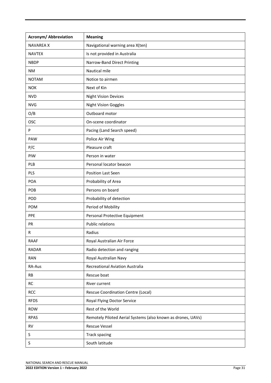| <b>Acronym/ Abbreviation</b> | <b>Meaning</b>                                               |
|------------------------------|--------------------------------------------------------------|
| <b>NAVAREA X</b>             | Navigational warning area X(ten)                             |
| <b>NAVTEX</b>                | Is not provided in Australia                                 |
| <b>NBDP</b>                  | Narrow-Band Direct Printing                                  |
| <b>NM</b>                    | Nautical mile                                                |
| <b>NOTAM</b>                 | Notice to airmen                                             |
| <b>NOK</b>                   | Next of Kin                                                  |
| <b>NVD</b>                   | <b>Night Vision Devices</b>                                  |
| <b>NVG</b>                   | <b>Night Vision Goggles</b>                                  |
| O/B                          | Outboard motor                                               |
| <b>OSC</b>                   | On-scene coordinator                                         |
| P                            | Pacing (Land Search speed)                                   |
| PAW                          | Police Air Wing                                              |
| P/C                          | Pleasure craft                                               |
| PIW                          | Person in water                                              |
| PLB                          | Personal locator beacon                                      |
| PLS                          | Position Last Seen                                           |
| <b>POA</b>                   | Probability of Area                                          |
| POB                          | Persons on board                                             |
| POD                          | Probability of detection                                     |
| <b>POM</b>                   | Period of Mobility                                           |
| PPE                          | Personal Protective Equipment                                |
| PR                           | <b>Public relations</b>                                      |
| R                            | Radius                                                       |
| <b>RAAF</b>                  | Royal Australian Air Force                                   |
| <b>RADAR</b>                 | Radio detection and ranging                                  |
| RAN                          | Royal Australian Navy                                        |
| RA-Aus                       | <b>Recreational Aviation Australia</b>                       |
| <b>RB</b>                    | Rescue boat                                                  |
| <b>RC</b>                    | River current                                                |
| <b>RCC</b>                   | <b>Rescue Coordination Centre (Local)</b>                    |
| <b>RFDS</b>                  | Royal Flying Doctor Service                                  |
| <b>ROW</b>                   | Rest of the World                                            |
| <b>RPAS</b>                  | Remotely Piloted Aerial Systems (also known as drones, UAVs) |
| <b>RV</b>                    | <b>Rescue Vessel</b>                                         |
| S                            | <b>Track spacing</b>                                         |
| S                            | South latitude                                               |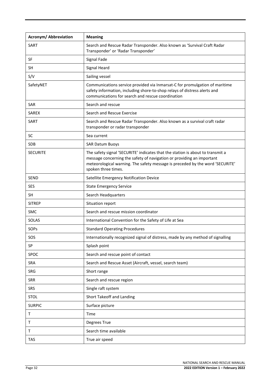| <b>Acronym/ Abbreviation</b> | <b>Meaning</b>                                                                                                                                                                                                                                                  |
|------------------------------|-----------------------------------------------------------------------------------------------------------------------------------------------------------------------------------------------------------------------------------------------------------------|
| <b>SART</b>                  | Search and Rescue Radar Transponder. Also known as 'Survival Craft Radar<br>Transponder' or 'Radar Transponder'                                                                                                                                                 |
| SF                           | Signal Fade                                                                                                                                                                                                                                                     |
| <b>SH</b>                    | Signal Heard                                                                                                                                                                                                                                                    |
| S/V                          | Sailing vessel                                                                                                                                                                                                                                                  |
| SafetyNET                    | Communications service provided via Inmarsat-C for promulgation of maritime<br>safety information, including shore-to-shop relays of distress alerts and<br>communications for search and rescue coordination                                                   |
| <b>SAR</b>                   | Search and rescue                                                                                                                                                                                                                                               |
| <b>SAREX</b>                 | Search and Rescue Exercise                                                                                                                                                                                                                                      |
| SART                         | Search and Rescue Radar Transponder. Also known as a survival craft radar<br>transponder or radar transponder                                                                                                                                                   |
| <b>SC</b>                    | Sea current                                                                                                                                                                                                                                                     |
| <b>SDB</b>                   | <b>SAR Datum Buoys</b>                                                                                                                                                                                                                                          |
| <b>SECURITE</b>              | The safety signal 'SECURITE' indicates that the station is about to transmit a<br>message concerning the safety of navigation or providing an important<br>meteorological warning. The safety message is preceded by the word 'SECURITE'<br>spoken three times. |
| <b>SEND</b>                  | Satellite Emergency Notification Device                                                                                                                                                                                                                         |
| <b>SES</b>                   | <b>State Emergency Service</b>                                                                                                                                                                                                                                  |
| <b>SH</b>                    | Search Headquarters                                                                                                                                                                                                                                             |
| <b>SITREP</b>                | Situation report                                                                                                                                                                                                                                                |
| SMC                          | Search and rescue mission coordinator                                                                                                                                                                                                                           |
| SOLAS                        | International Convention for the Safety of Life at Sea                                                                                                                                                                                                          |
| SOPs                         | <b>Standard Operating Procedures</b>                                                                                                                                                                                                                            |
| SOS                          | Internationally recognized signal of distress, made by any method of signalling                                                                                                                                                                                 |
| SP                           | Splash point                                                                                                                                                                                                                                                    |
| SPOC                         | Search and rescue point of contact                                                                                                                                                                                                                              |
| SRA                          | Search and Rescue Asset (Aircraft, vessel, search team)                                                                                                                                                                                                         |
| SRG                          | Short range                                                                                                                                                                                                                                                     |
| <b>SRR</b>                   | Search and rescue region                                                                                                                                                                                                                                        |
| SRS                          | Single raft system                                                                                                                                                                                                                                              |
| <b>STOL</b>                  | Short Takeoff and Landing                                                                                                                                                                                                                                       |
| <b>SURPIC</b>                | Surface picture                                                                                                                                                                                                                                                 |
| Τ                            | Time                                                                                                                                                                                                                                                            |
| Τ                            | Degrees True                                                                                                                                                                                                                                                    |
| T                            | Search time available                                                                                                                                                                                                                                           |
| <b>TAS</b>                   | True air speed                                                                                                                                                                                                                                                  |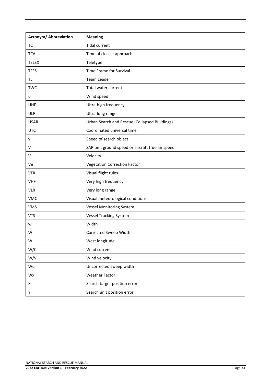| <b>Acronym/ Abbreviation</b> | <b>Meaning</b>                                   |
|------------------------------|--------------------------------------------------|
| <b>TC</b>                    | <b>Tidal current</b>                             |
| <b>TCA</b>                   | Time of closest approach                         |
| <b>TELEX</b>                 | Teletype                                         |
| <b>TFFS</b>                  | Time Frame for Survival                          |
| TL                           | <b>Team Leader</b>                               |
| <b>TWC</b>                   | Total water current                              |
| u                            | Wind speed                                       |
| UHF                          | Ultra-high frequency                             |
| <b>ULR</b>                   | Ultra-long range                                 |
| <b>USAR</b>                  | Urban Search and Rescue (Collapsed Buildings)    |
| <b>UTC</b>                   | Coordinated universal time                       |
| v                            | Speed of search object                           |
| V                            | SAR unit ground speed or aircraft true air speed |
| V                            | Velocity                                         |
| Ve                           | <b>Vegetation Correction Factor</b>              |
| <b>VFR</b>                   | Visual flight rules                              |
| <b>VHF</b>                   | Very high frequency                              |
| <b>VLR</b>                   | Very long range                                  |
| <b>VMC</b>                   | Visual meteorological conditions                 |
| <b>VMS</b>                   | <b>Vessel Monitoring System</b>                  |
| <b>VTS</b>                   | <b>Vessel Tracking System</b>                    |
| w                            | Width                                            |
| W                            | Corrected Sweep Width                            |
| W                            | West longitude                                   |
| W/C                          | Wind current                                     |
| W/V                          | Wind velocity                                    |
| Wu                           | Uncorrected sweep width                          |
| Wx                           | <b>Weather Factor</b>                            |
| Χ                            | Search target position error                     |
| Υ                            | Search unit position error                       |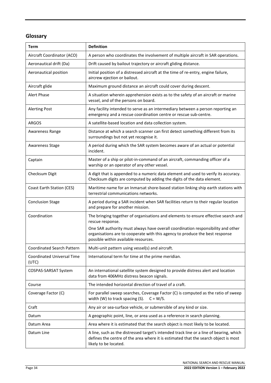# **Glossary**

| <b>Term</b>                                | <b>Definition</b>                                                                                                                                                                                        |
|--------------------------------------------|----------------------------------------------------------------------------------------------------------------------------------------------------------------------------------------------------------|
| Aircraft Coordinator (ACO)                 | A person who coordinates the involvement of multiple aircraft in SAR operations.                                                                                                                         |
| Aeronautical drift (Da)                    | Drift caused by bailout trajectory or aircraft gliding distance.                                                                                                                                         |
| Aeronautical position                      | Initial position of a distressed aircraft at the time of re-entry, engine failure,<br>aircrew ejection or bailout.                                                                                       |
| Aircraft glide                             | Maximum ground distance an aircraft could cover during descent.                                                                                                                                          |
| <b>Alert Phase</b>                         | A situation wherein apprehension exists as to the safety of an aircraft or marine<br>vessel, and of the persons on board.                                                                                |
| <b>Alerting Post</b>                       | Any facility intended to serve as an intermediary between a person reporting an<br>emergency and a rescue coordination centre or rescue sub-centre.                                                      |
| <b>ARGOS</b>                               | A satellite-based location and data collection system.                                                                                                                                                   |
| Awareness Range                            | Distance at which a search scanner can first detect something different from its<br>surroundings but not yet recognise it.                                                                               |
| <b>Awareness Stage</b>                     | A period during which the SAR system becomes aware of an actual or potential<br>incident.                                                                                                                |
| Captain                                    | Master of a ship or pilot-in-command of an aircraft, commanding officer of a<br>warship or an operator of any other vessel.                                                                              |
| Checksum Digit                             | A digit that is appended to a numeric data element and used to verify its accuracy.<br>Checksum digits are computed by adding the digits of the data element.                                            |
| Coast Earth Station (CES)                  | Maritime name for an Inmarsat shore-based station linking ship earth stations with<br>terrestrial communications networks.                                                                               |
| <b>Conclusion Stage</b>                    | A period during a SAR incident when SAR facilities return to their regular location<br>and prepare for another mission.                                                                                  |
| Coordination                               | The bringing together of organisations and elements to ensure effective search and<br>rescue response.                                                                                                   |
|                                            | One SAR authority must always have overall coordination responsibility and other<br>organisations are to cooperate with this agency to produce the best response<br>possible within available resources. |
| <b>Coordinated Search Pattern</b>          | Multi-unit pattern using vessel(s) and aircraft.                                                                                                                                                         |
| <b>Coordinated Universal Time</b><br>(UTC) | International term for time at the prime meridian.                                                                                                                                                       |
| COSPAS-SARSAT System                       | An international satellite system designed to provide distress alert and location<br>data from 406MHz distress beacon signals.                                                                           |
| Course                                     | The intended horizontal direction of travel of a craft.                                                                                                                                                  |
| Coverage Factor (C)                        | For parallel sweep searches, Coverage Factor (C) is computed as the ratio of sweep<br>width (W) to track spacing (S).<br>$C = W/S$ .                                                                     |
| Craft                                      | Any air or sea-surface vehicle, or submersible of any kind or size.                                                                                                                                      |
| Datum                                      | A geographic point, line, or area used as a reference in search planning.                                                                                                                                |
| Datum Area                                 | Area where it is estimated that the search object is most likely to be located.                                                                                                                          |
| Datum Line                                 | A line, such as the distressed target's intended track line or a line of bearing, which<br>defines the centre of the area where it is estimated that the search object is most<br>likely to be located.  |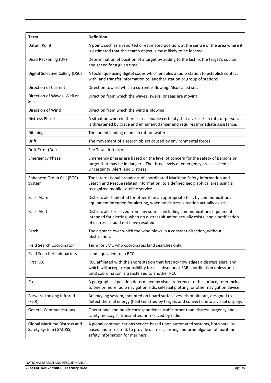| <b>Term</b>                                                  | <b>Definition</b>                                                                                                                                                                                                           |
|--------------------------------------------------------------|-----------------------------------------------------------------------------------------------------------------------------------------------------------------------------------------------------------------------------|
| Datum Point                                                  | A point, such as a reported or estimated position, at the centre of the area where it<br>is estimated that the search object is most likely to be located.                                                                  |
| Dead Reckoning (DR)                                          | Determination of position of a target by adding to the last fix the target's course<br>and speed for a given time.                                                                                                          |
| Digital Selective Calling (DSC)                              | A technique using digital codes which enables a radio station to establish contact<br>with, and transfer information to, another station or group of stations.                                                              |
| Direction of Current                                         | Direction toward which a current is flowing. Also called set.                                                                                                                                                               |
| Direction of Waves, Well or<br>Seas                          | Direction from which the waves, swells, or seas are moving.                                                                                                                                                                 |
| Direction of Wind                                            | Direction from which the wind is blowing.                                                                                                                                                                                   |
| <b>Distress Phase</b>                                        | A situation wherein there is reasonable certainty that a vessel/aircraft, or person,<br>is threatened by grave and imminent danger and requires immediate assistance.                                                       |
| Ditching                                                     | The forced landing of an aircraft on water.                                                                                                                                                                                 |
| Drift                                                        | The movement of a search object caused by environmental forces.                                                                                                                                                             |
| Drift Error (De)                                             | See Total drift error.                                                                                                                                                                                                      |
| <b>Emergency Phase</b>                                       | Emergency phases are based on the level of concern for the safety of persons or<br>target that may be in danger. The three levels of emergency are classified as<br>Uncertainty, Alert, and Distress.                       |
| Enhanced Group Call (EGC)<br>System                          | The international broadcast of coordinated Maritime Safety Information and<br>Search and Rescue related information, to a defined geographical area using a<br>recognized mobile satellite service.                         |
| <b>False Alarm</b>                                           | Distress alert initiated for other than an appropriate test, by communications<br>equipment intended for alerting, when no distress situation actually exists.                                                              |
| <b>False Alert</b>                                           | Distress alert received from any source, including communications equipment<br>intended for alerting, when no distress situation actually exists, and a notification<br>of distress should not have resulted.               |
| Fetch                                                        | The distance over which the wind blows in a constant direction, without<br>obstruction.                                                                                                                                     |
| <b>Field Search Coordinator</b>                              | Term for SMC who coordinates land searches only.                                                                                                                                                                            |
| <b>Field Search Headquarters</b>                             | Land equivalent of a RCC                                                                                                                                                                                                    |
| <b>First RCC</b>                                             | RCC affiliated with the shore station that first acknowledges a distress alert, and<br>which will accept responsibility for all subsequent SAR coordination unless and<br>until coordination is transferred to another RCC. |
| Fix                                                          | A geographical position determined by visual reference to the surface, referencing<br>to one or more radio navigation aids, celestial plotting, or other navigation device.                                                 |
| Forward Looking Infrared<br>(FLIR)                           | An imaging system, mounted on board surface vessels or aircraft, designed to<br>detect thermal energy (heat) emitted by targets and convert it into a visual display.                                                       |
| <b>General Communications</b>                                | Operational and public correspondence traffic other than distress, urgency and<br>safety messages, transmitted or received by radio.                                                                                        |
| <b>Global Maritime Distress and</b><br>Safety System (GMDSS) | A global communications service based upon automated systems, both satellite-<br>based and terrestrial, to provide distress alerting and promulgation of maritime<br>safety information for mariners.                       |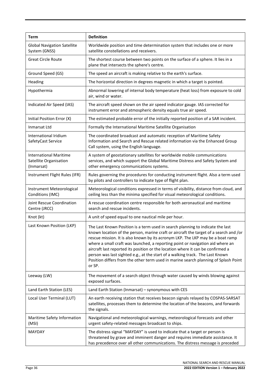| Term                                                                  | <b>Definition</b>                                                                                                                                                                                                                                                                                                                                                                                                                                                                                                                                                                                                 |
|-----------------------------------------------------------------------|-------------------------------------------------------------------------------------------------------------------------------------------------------------------------------------------------------------------------------------------------------------------------------------------------------------------------------------------------------------------------------------------------------------------------------------------------------------------------------------------------------------------------------------------------------------------------------------------------------------------|
| <b>Global Navigation Satellite</b><br>System (GNSS)                   | Worldwide position and time determination system that includes one or more<br>satellite constellations and receivers.                                                                                                                                                                                                                                                                                                                                                                                                                                                                                             |
| <b>Great Circle Route</b>                                             | The shortest course between two points on the surface of a sphere. It lies in a<br>plane that intersects the sphere's centre.                                                                                                                                                                                                                                                                                                                                                                                                                                                                                     |
| Ground Speed (GS)                                                     | The speed an aircraft is making relative to the earth's surface.                                                                                                                                                                                                                                                                                                                                                                                                                                                                                                                                                  |
| Heading                                                               | The horizontal direction in degrees magnetic in which a target is pointed.                                                                                                                                                                                                                                                                                                                                                                                                                                                                                                                                        |
| Hypothermia                                                           | Abnormal lowering of internal body temperature (heat loss) from exposure to cold<br>air, wind or water.                                                                                                                                                                                                                                                                                                                                                                                                                                                                                                           |
| Indicated Air Speed (IAS)                                             | The aircraft speed shown on the air speed indicator gauge. IAS corrected for<br>instrument error and atmospheric density equals true air speed.                                                                                                                                                                                                                                                                                                                                                                                                                                                                   |
| Initial Position Error (X)                                            | The estimated probable error of the initially reported position of a SAR incident.                                                                                                                                                                                                                                                                                                                                                                                                                                                                                                                                |
| Inmarsat Ltd                                                          | Formally the International Maritime Satellite Organisation                                                                                                                                                                                                                                                                                                                                                                                                                                                                                                                                                        |
| International Iridium<br>SafetyCast Service                           | The coordinated broadcast and automatic reception of Maritime Safety<br>Information and Search and Rescue related information via the Enhanced Group<br>Call system, using the English language.                                                                                                                                                                                                                                                                                                                                                                                                                  |
| <b>International Maritime</b><br>Satellite Organisation<br>(Inmarsat) | A system of geostationary satellites for worldwide mobile communications<br>services, and which support the Global Maritime Distress and Safety System and<br>other emergency communications systems.                                                                                                                                                                                                                                                                                                                                                                                                             |
| Instrument Flight Rules (IFR)                                         | Rules governing the procedures for conducting instrument flight. Also a term used<br>by pilots and controllers to indicate type of flight plan.                                                                                                                                                                                                                                                                                                                                                                                                                                                                   |
| Instrument Meteorological<br>Conditions (IMC)                         | Meteorological conditions expressed in terms of visibility, distance from cloud, and<br>ceiling less than the minima specified for visual meteorological conditions.                                                                                                                                                                                                                                                                                                                                                                                                                                              |
| Joint Rescue Coordination<br>Centre (JRCC)                            | A rescue coordination centre responsible for both aeronautical and maritime<br>search and rescue incidents.                                                                                                                                                                                                                                                                                                                                                                                                                                                                                                       |
| Knot (kt)                                                             | A unit of speed equal to one nautical mile per hour.                                                                                                                                                                                                                                                                                                                                                                                                                                                                                                                                                              |
| Last Known Position (LKP)                                             | The Last Known Position is a term used in search planning to indicate the last<br>known location of the person, marine craft or aircraft the target of a search and /or<br>rescue mission. It is also known by its acronym LKP. The LKP may be a boat ramp<br>where a small craft was launched, a reporting point or navigation aid where an<br>aircraft last reported its position or the location where it can be confirmed a<br>person was last sighted e.g., at the start of a walking track. The Last Known<br>Position differs from the other term used in marine search planning of Splash Point<br>or SP. |
| Leeway (LW)                                                           | The movement of a search object through water caused by winds blowing against<br>exposed surfaces.                                                                                                                                                                                                                                                                                                                                                                                                                                                                                                                |
| Land Earth Station (LES)                                              | Land Earth Station (Inmarsat) - synonymous with CES                                                                                                                                                                                                                                                                                                                                                                                                                                                                                                                                                               |
| Local User Terminal (LUT)                                             | An earth receiving station that receives beacon signals relayed by COSPAS-SARSAT<br>satellites, processes them to determine the location of the beacons, and forwards<br>the signals.                                                                                                                                                                                                                                                                                                                                                                                                                             |
| Maritime Safety Information<br>(MSI)                                  | Navigational and meteorological warnings, meteorological forecasts and other<br>urgent safety-related messages broadcast to ships.                                                                                                                                                                                                                                                                                                                                                                                                                                                                                |
| <b>MAYDAY</b>                                                         | The distress signal "MAYDAY" is used to indicate that a target or person is<br>threatened by grave and imminent danger and requires immediate assistance. It<br>has precedence over all other communications. The distress message is preceded                                                                                                                                                                                                                                                                                                                                                                    |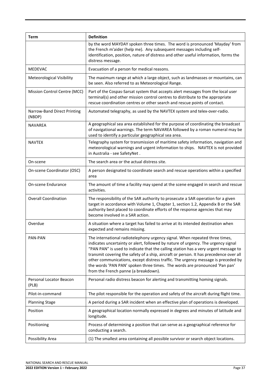| Term                                  | <b>Definition</b>                                                                                                                                                                                                                                                                                                                                                                                                                                                                                                                                            |
|---------------------------------------|--------------------------------------------------------------------------------------------------------------------------------------------------------------------------------------------------------------------------------------------------------------------------------------------------------------------------------------------------------------------------------------------------------------------------------------------------------------------------------------------------------------------------------------------------------------|
|                                       | by the word MAYDAY spoken three times. The word is pronounced 'Mayday' from<br>the French m'aider (help me). Any subsequent messages including self-<br>identification, position, nature of distress and other useful information, forms the<br>distress message.                                                                                                                                                                                                                                                                                            |
| <b>MEDEVAC</b>                        | Evacuation of a person for medical reasons.                                                                                                                                                                                                                                                                                                                                                                                                                                                                                                                  |
| <b>Meteorological Visibility</b>      | The maximum range at which a large object, such as landmasses or mountains, can<br>be seen. Also referred to as Meteorological Range.                                                                                                                                                                                                                                                                                                                                                                                                                        |
| Mission Control Centre (MCC)          | Part of the Cospas-Sarsat system that accepts alert messages from the local user<br>terminal(s) and other mission control centres to distribute to the appropriate<br>rescue coordination centres or other search and rescue points of contact.                                                                                                                                                                                                                                                                                                              |
| Narrow-Band Direct Printing<br>(NBDP) | Automated telegraphy, as used by the NAVTEX system and telex-over-radio.                                                                                                                                                                                                                                                                                                                                                                                                                                                                                     |
| <b>NAVAREA</b>                        | A geographical sea area established for the purpose of coordinating the broadcast<br>of navigational warnings. The term NAVAREA followed by a roman numeral may be<br>used to identify a particular geographical sea area.                                                                                                                                                                                                                                                                                                                                   |
| <b>NAVTEX</b>                         | Telegraphy system for transmission of maritime safety information, navigation and<br>meteorological warnings and urgent information to ships. NAVTEX is not provided<br>in Australia - see SafetyNet.                                                                                                                                                                                                                                                                                                                                                        |
| On-scene                              | The search area or the actual distress site.                                                                                                                                                                                                                                                                                                                                                                                                                                                                                                                 |
| On-scene Coordinator (OSC)            | A person designated to coordinate search and rescue operations within a specified<br>area                                                                                                                                                                                                                                                                                                                                                                                                                                                                    |
| <b>On-scene Endurance</b>             | The amount of time a facility may spend at the scene engaged in search and rescue<br>activities.                                                                                                                                                                                                                                                                                                                                                                                                                                                             |
| <b>Overall Coordination</b>           | The responsibility of the SAR authority to prosecute a SAR operation for a given<br>target in accordance with Volume 1, Chapter 1, section 1.2, Appendix B or the SAR<br>authority best placed to coordinate efforts of the response agencies that may<br>become involved in a SAR action.                                                                                                                                                                                                                                                                   |
| Overdue                               | A situation where a target has failed to arrive at its intended destination when<br>expected and remains missing.                                                                                                                                                                                                                                                                                                                                                                                                                                            |
| PAN-PAN                               | The international radiotelephony urgency signal. When repeated three times,<br>indicates uncertainty or alert, followed by nature of urgency. The urgency signal<br>"PAN PAN" is used to indicate that the calling station has a very urgent message to<br>transmit covering the safety of a ship, aircraft or person. It has precedence over all<br>other communications, except distress traffic. The urgency message is preceded by<br>the words 'PAN PAN' spoken three times. The words are pronounced 'Pan pan'<br>from the French panne (a breakdown). |
| Personal Locator Beacon<br>(PLB)      | Personal radio distress beacon for alerting and transmitting homing signals.                                                                                                                                                                                                                                                                                                                                                                                                                                                                                 |
| Pilot-in-command                      | The pilot responsible for the operation and safety of the aircraft during flight time.                                                                                                                                                                                                                                                                                                                                                                                                                                                                       |
| <b>Planning Stage</b>                 | A period during a SAR incident when an effective plan of operations is developed.                                                                                                                                                                                                                                                                                                                                                                                                                                                                            |
| Position                              | A geographical location normally expressed in degrees and minutes of latitude and<br>longitude.                                                                                                                                                                                                                                                                                                                                                                                                                                                              |
| Positioning                           | Process of determining a position that can serve as a geographical reference for<br>conducting a search.                                                                                                                                                                                                                                                                                                                                                                                                                                                     |
| Possibility Area                      | (1) The smallest area containing all possible survivor or search object locations.                                                                                                                                                                                                                                                                                                                                                                                                                                                                           |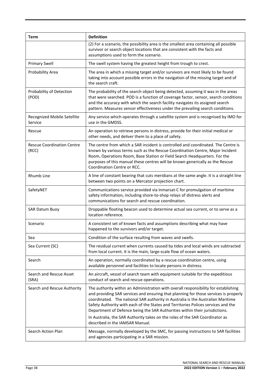| Term                                       | <b>Definition</b>                                                                                                                                                                                                                                                                                                                                                                                                                  |
|--------------------------------------------|------------------------------------------------------------------------------------------------------------------------------------------------------------------------------------------------------------------------------------------------------------------------------------------------------------------------------------------------------------------------------------------------------------------------------------|
|                                            | (2) For a scenario, the possibility area is the smallest area containing all possible<br>survivor or search object locations that are consistent with the facts and<br>assumptions used to form the scenario.                                                                                                                                                                                                                      |
| <b>Primary Swell</b>                       | The swell system having the greatest height from trough to crest.                                                                                                                                                                                                                                                                                                                                                                  |
| Probability Area                           | The area in which a missing target and/or survivors are most likely to be found<br>taking into account possible errors in the navigation of the missing target and of<br>the search craft.                                                                                                                                                                                                                                         |
| Probability of Detection<br>(POD)          | The probability of the search object being detected, assuming it was in the areas<br>that were searched. POD is a function of coverage factor, sensor, search conditions<br>and the accuracy with which the search facility navigates its assigned search<br>pattern. Measures sensor effectiveness under the prevailing search conditions.                                                                                        |
| Recognized Mobile Satellite<br>Service     | Any service which operates through a satellite system and is recognised by IMO for<br>use in the GMDSS.                                                                                                                                                                                                                                                                                                                            |
| Rescue                                     | An operation to retrieve persons in distress, provide for their initial medical or<br>other needs, and deliver them to a place of safety.                                                                                                                                                                                                                                                                                          |
| <b>Rescue Coordination Centre</b><br>(RCC) | The centre from which a SAR incident is controlled and coordinated. The Centre is<br>known by various terms such as the Rescue Coordination Centre, Major Incident<br>Room, Operations Room, Base Station or Field Search Headquarters. For the<br>purposes of this manual these centres will be known generically as the Rescue<br>Coordination Centre or RCC.                                                                    |
| Rhumb Line                                 | A line of constant bearing that cuts meridians at the same angle. It is a straight line<br>between two points on a Mercator projection chart.                                                                                                                                                                                                                                                                                      |
| SafetyNET                                  | Communications service provided via Inmarsat-C for promulgation of maritime<br>safety information, including shore-to-shop relays of distress alerts and<br>communications for search and rescue coordination.                                                                                                                                                                                                                     |
| <b>SAR Datum Buoy</b>                      | Droppable floating beacon used to determine actual sea current, or to serve as a<br>location reference.                                                                                                                                                                                                                                                                                                                            |
| Scenario                                   | A consistent set of known facts and assumptions describing what may have<br>happened to the survivors and/or target.                                                                                                                                                                                                                                                                                                               |
| Sea                                        | Condition of the surface resulting from waves and swells.                                                                                                                                                                                                                                                                                                                                                                          |
| Sea Current (SC)                           | The residual current when currents caused by tides and local winds are subtracted<br>from local current. It is the main, large-scale flow of ocean waters.                                                                                                                                                                                                                                                                         |
| Search                                     | An operation, normally coordinated by a rescue coordination centre, using<br>available personnel and facilities to locate persons in distress.                                                                                                                                                                                                                                                                                     |
| Search and Rescue Asset<br>(SRA)           | An aircraft, vessel of search team with equipment suitable for the expeditious<br>conduct of search and rescue operations.                                                                                                                                                                                                                                                                                                         |
| Search and Rescue Authority                | The authority within an Administration with overall responsibility for establishing<br>and providing SAR services and ensuring that planning for those services is properly<br>coordinated. The national SAR authority in Australia is the Australian Maritime<br>Safety Authority with each of the States and Territories Polices services and the<br>Department of Defence being the SAR Authorities within their jurisdictions. |
|                                            | In Australia, the SAR Authority takes on the roles of the SAR Coordinator as<br>described in the IAMSAR Manual.                                                                                                                                                                                                                                                                                                                    |
| Search Action Plan                         | Message, normally developed by the SMC, for passing instructions to SAR facilities<br>and agencies participating in a SAR mission.                                                                                                                                                                                                                                                                                                 |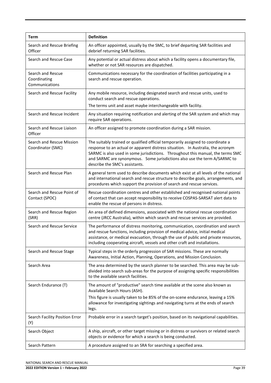| Term                                                | <b>Definition</b>                                                                                                                                                                                                                                                                                                                                                    |
|-----------------------------------------------------|----------------------------------------------------------------------------------------------------------------------------------------------------------------------------------------------------------------------------------------------------------------------------------------------------------------------------------------------------------------------|
| Search and Rescue Briefing<br>Officer               | An officer appointed, usually by the SMC, to brief departing SAR facilities and<br>debrief returning SAR facilities.                                                                                                                                                                                                                                                 |
| Search and Rescue Case                              | Any potential or actual distress about which a facility opens a documentary file,<br>whether or not SAR resources are dispatched.                                                                                                                                                                                                                                    |
| Search and Rescue<br>Coordinating<br>Communications | Communications necessary for the coordination of facilities participating in a<br>search and rescue operation.                                                                                                                                                                                                                                                       |
| Search and Rescue Facility                          | Any mobile resource, including designated search and rescue units, used to<br>conduct search and rescue operations.<br>The terms unit and asset maybe interchangeable with facility.                                                                                                                                                                                 |
| Search and Rescue Incident                          | Any situation requiring notification and alerting of the SAR system and which may<br>require SAR operations.                                                                                                                                                                                                                                                         |
| Search and Rescue Liaison<br>Officer                | An officer assigned to promote coordination during a SAR mission.                                                                                                                                                                                                                                                                                                    |
| Search and Rescue Mission<br>Coordinator (SMC)      | The suitably trained or qualified official temporarily assigned to coordinate a<br>response to an actual or apparent distress situation. In Australia, the acronym<br>SARMC is also used in some jurisdictions. Throughout this manual, the terms SMC<br>and SARMC are synonymous. Some jurisdictions also use the term A/SARMC to<br>describe the SMC's assistants. |
| Search and Rescue Plan                              | A general term used to describe documents which exist at all levels of the national<br>and international search and rescue structure to describe goals, arrangements, and<br>procedures which support the provision of search and rescue services.                                                                                                                   |
| Search and Rescue Point of<br>Contact (SPOC)        | Rescue coordination centres and other established and recognised national points<br>of contact that can accept responsibility to receive COSPAS-SARSAT alert data to<br>enable the rescue of persons in distress.                                                                                                                                                    |
| Search and Rescue Region<br>(SRR)                   | An area of defined dimensions, associated with the national rescue coordination<br>centre (JRCC Australia), within which search and rescue services are provided.                                                                                                                                                                                                    |
| Search and Rescue Service                           | The performance of distress monitoring, communication, coordination and search<br>and rescue functions, including provision of medical advice, initial medical<br>assistance, or medical evacuation, through the use of public and private resources,<br>including cooperating aircraft, vessels and other craft and installations.                                  |
| Search and Rescue Stage                             | Typical steps in the orderly progression of SAR missions. These are normally<br>Awareness, Initial Action, Planning, Operations, and Mission Conclusion.                                                                                                                                                                                                             |
| Search Area                                         | The area determined by the search planner to be searched. This area may be sub-<br>divided into search sub-areas for the purpose of assigning specific responsibilities<br>to the available search facilities.                                                                                                                                                       |
| Search Endurance (T)                                | The amount of "productive" search time available at the scene also known as<br>Available Search Hours (ASH).<br>This figure is usually taken to be 85% of the on-scene endurance, leaving a 15%<br>allowance for investigating sightings and navigating turns at the ends of search<br>legs.                                                                         |
| Search Facility Position Error<br>(Y)               | Probable error in a search target's position, based on its navigational capabilities.                                                                                                                                                                                                                                                                                |
| Search Object                                       | A ship, aircraft, or other target missing or in distress or survivors or related search<br>objects or evidence for which a search is being conducted.                                                                                                                                                                                                                |
| Search Pattern                                      | A procedure assigned to an SRA for searching a specified area.                                                                                                                                                                                                                                                                                                       |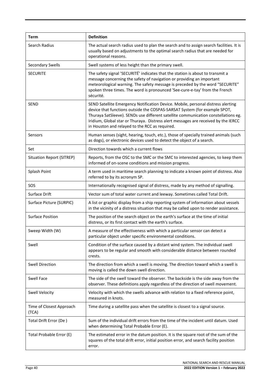| Term                              | <b>Definition</b>                                                                                                                                                                                                                                                                                                                                                                           |
|-----------------------------------|---------------------------------------------------------------------------------------------------------------------------------------------------------------------------------------------------------------------------------------------------------------------------------------------------------------------------------------------------------------------------------------------|
| Search Radius                     | The actual search radius used to plan the search and to assign search facilities. It is<br>usually based on adjustments to the optimal search radius that are needed for<br>operational reasons.                                                                                                                                                                                            |
| Secondary Swells                  | Swell systems of less height than the primary swell.                                                                                                                                                                                                                                                                                                                                        |
| <b>SECURITE</b>                   | The safety signal 'SECURITÉ' indicates that the station is about to transmit a<br>message concerning the safety of navigation or providing an important<br>meteorological warning. The safety message is preceded by the word "SECURITE"<br>spoken three times. The word is pronounced 'See-cure-e-tay' from the French<br>sécurité.                                                        |
| <b>SEND</b>                       | SEND Satellite Emergency Notification Device. Mobile, personal distress alerting<br>device that functions outside the COSPAS-SARSAT System (for example SPOT,<br>Thuraya SatSleeve). SENDs use different satellite communication constellations eg.<br>Iridium, Global star or Thuraya. Distress alert messages are received by the IERCC<br>in Houston and relayed to the RCC as required. |
| Sensors                           | Human senses (sight, hearing, touch, etc.), those of specially trained animals (such<br>as dogs), or electronic devices used to detect the object of a search.                                                                                                                                                                                                                              |
| Set                               | Direction towards which a current flows                                                                                                                                                                                                                                                                                                                                                     |
| <b>Situation Report (SITREP)</b>  | Reports, from the OSC to the SMC or the SMC to interested agencies, to keep them<br>informed of on-scene conditions and mission progress.                                                                                                                                                                                                                                                   |
| Splash Point                      | A term used in maritime search planning to indicate a known point of distress. Also<br>referred to by its acronym SP.                                                                                                                                                                                                                                                                       |
| SOS                               | Internationally recognised signal of distress, made by any method of signalling.                                                                                                                                                                                                                                                                                                            |
| Surface Drift                     | Vector sum of total water current and leeway. Sometimes called Total Drift.                                                                                                                                                                                                                                                                                                                 |
| Surface Picture (SURPIC)          | A list or graphic display from a ship reporting system of information about vessels<br>in the vicinity of a distress situation that may be called upon to render assistance.                                                                                                                                                                                                                |
| <b>Surface Position</b>           | The position of the search object on the earth's surface at the time of initial<br>distress, or its first contact with the earth's surface.                                                                                                                                                                                                                                                 |
| Sweep Width (W)                   | A measure of the effectiveness with which a particular sensor can detect a<br>particular object under specific environmental conditions.                                                                                                                                                                                                                                                    |
| Swell                             | Condition of the surface caused by a distant wind system. The individual swell<br>appears to be regular and smooth with considerable distance between rounded<br>crests.                                                                                                                                                                                                                    |
| <b>Swell Direction</b>            | The direction from which a swell is moving. The direction toward which a swell is<br>moving is called the down swell direction.                                                                                                                                                                                                                                                             |
| <b>Swell Face</b>                 | The side of the swell toward the observer. The backside is the side away from the<br>observer. These definitions apply regardless of the direction of swell movement.                                                                                                                                                                                                                       |
| Swell Velocity                    | Velocity with which the swells advance with relation to a fixed reference point,<br>measured in knots.                                                                                                                                                                                                                                                                                      |
| Time of Closest Approach<br>(TCA) | Time during a satellite pass when the satellite is closest to a signal source.                                                                                                                                                                                                                                                                                                              |
| Total Drift Error (De)            | Sum of the individual drift errors from the time of the incident until datum. Used<br>when determining Total Probable Error (E).                                                                                                                                                                                                                                                            |
| Total Probable Error (E)          | The estimated error in the datum position. It is the square root of the sum of the<br>squares of the total drift error, initial position error, and search facility position<br>error.                                                                                                                                                                                                      |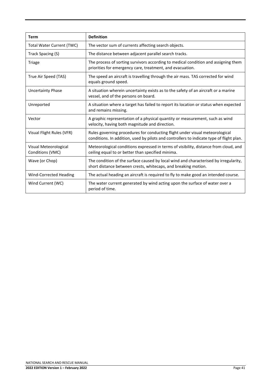| <b>Term</b>                               | <b>Definition</b>                                                                                                                                                        |
|-------------------------------------------|--------------------------------------------------------------------------------------------------------------------------------------------------------------------------|
| <b>Total Water Current (TWC)</b>          | The vector sum of currents affecting search objects.                                                                                                                     |
| Track Spacing (S)                         | The distance between adjacent parallel search tracks.                                                                                                                    |
| Triage                                    | The process of sorting survivors according to medical condition and assigning them<br>priorities for emergency care, treatment, and evacuation.                          |
| True Air Speed (TAS)                      | The speed an aircraft is travelling through the air mass. TAS corrected for wind<br>equals ground speed.                                                                 |
| <b>Uncertainty Phase</b>                  | A situation wherein uncertainty exists as to the safety of an aircraft or a marine<br>vessel, and of the persons on board.                                               |
| Unreported                                | A situation where a target has failed to report its location or status when expected<br>and remains missing.                                                             |
| Vector                                    | A graphic representation of a physical quantity or measurement, such as wind<br>velocity, having both magnitude and direction.                                           |
| Visual Flight Rules (VFR)                 | Rules governing procedures for conducting flight under visual meteorological<br>conditions. In addition, used by pilots and controllers to indicate type of flight plan. |
| Visual Meteorological<br>Conditions (VMC) | Meteorological conditions expressed in terms of visibility, distance from cloud, and<br>ceiling equal to or better than specified minima.                                |
| Wave (or Chop)                            | The condition of the surface caused by local wind and characterised by irregularity,<br>short distance between crests, whitecaps, and breaking motion.                   |
| <b>Wind-Corrected Heading</b>             | The actual heading an aircraft is required to fly to make good an intended course.                                                                                       |
| Wind Current (WC)                         | The water current generated by wind acting upon the surface of water over a<br>period of time.                                                                           |